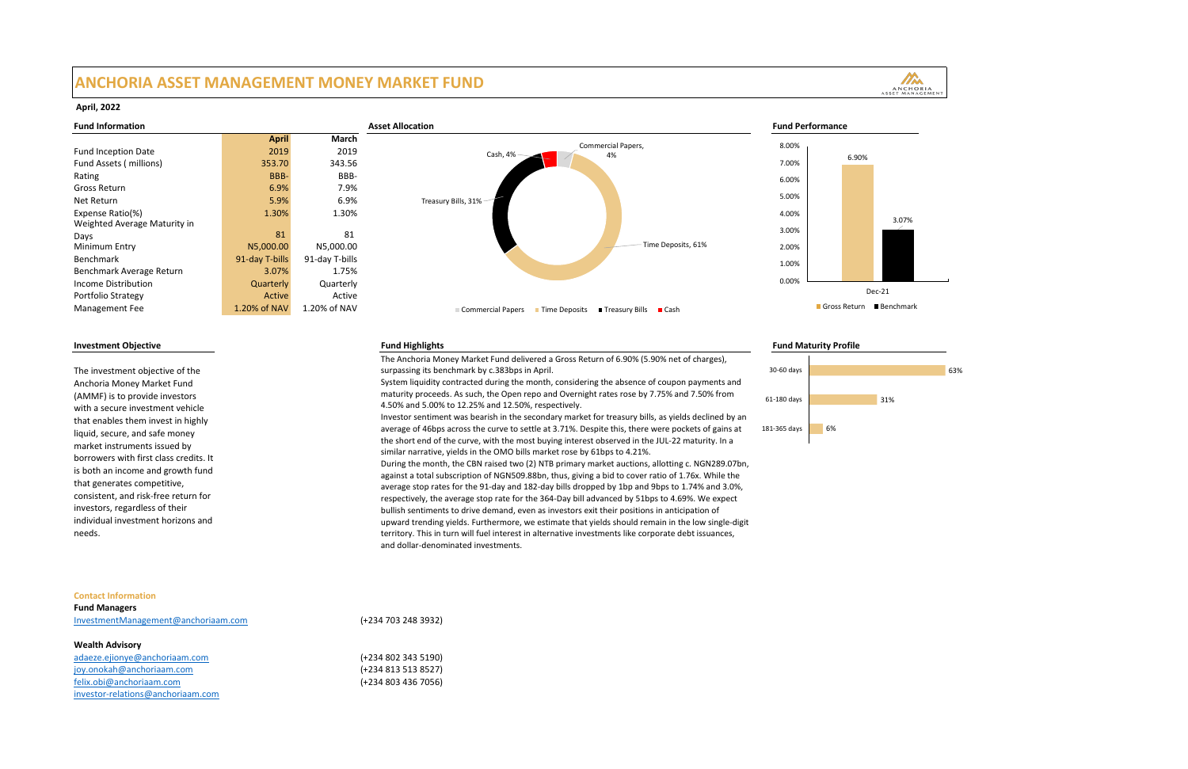# **ANCHORIA ASSET MANAGEMENT MONEY MARKET FUND**

|                                     | <b>April</b>   | <b>March</b>   |  |
|-------------------------------------|----------------|----------------|--|
| <b>Fund Inception Date</b>          | 2019           | 2019           |  |
| <b>Fund Assets (millions)</b>       | 353.70         | 343.56         |  |
| Rating                              | BBB-           | BBB-           |  |
| <b>Gross Return</b>                 | 6.9%           | 7.9%           |  |
| <b>Net Return</b>                   | 5.9%           | 6.9%           |  |
| Expense Ratio(%)                    | 1.30%          | 1.30%          |  |
| <b>Weighted Average Maturity in</b> |                |                |  |
| Days                                | 81             | 81             |  |
| <b>Minimum Entry</b>                | N5,000.00      | N5,000.00      |  |
| <b>Benchmark</b>                    | 91-day T-bills | 91-day T-bills |  |
| Benchmark Average Return            | 3.07%          | 1.75%          |  |
| <b>Income Distribution</b>          | Quarterly      | Quarterly      |  |
| <b>Portfolio Strategy</b>           | <b>Active</b>  | Active         |  |
| <b>Management Fee</b>               | 1.20% of NAV   | 1.20% of NAV   |  |
|                                     |                |                |  |

## **Investment Objective Fund Highlights Fund Maturity Profile**

The investment objective of the Anchoria Money Market Fund (AMMF) is to provide investors with a secure investment vehicle that enables them invest in highly liquid, secure, and safe money market instruments issued by borrowers with first class credits. It is both an income and growth fund that generates competitive, consistent, and risk-free return for investors, regardless of their individual investment horizons and needs.



The Anchoria Money Market Fund delivered a Gross Return of 6.90% (5.90% net of charges), surpassing its benchmark by c.383bps in April. System liquidity contracted during the month, considering the absence of coupon payments and maturity proceeds. As such, the Open repo and Overnight rates rose by 7.75% and 7.50% from 4.50% and 5.00% to 12.25% and 12.50%, respectively. Investor sentiment was bearish in the secondary market for treasury bills, as yields declined by an average of 46bps across the curve to settle at 3.71%. Despite this, there were pockets of gains at the short end of the curve, with the most buying interest observed in the JUL-22 maturity. In a similar narrative, yields in the OMO bills market rose by 61bps to 4.21%. During the month, the CBN raised two (2) NTB primary market auctions, allotting c. NGN289.07bn, against a total subscription of NGN509.88bn, thus, giving a bid to cover ratio of 1.76x. While the average stop rates for the 91-day and 182-day bills dropped by 1bp and 9bps to 1.74% and 3.0%, respectively, the average stop rate for the 364-Day bill advanced by 51bps to 4.69%. We expect bullish sentiments to drive demand, even as investors exit their positions in anticipation of upward trending yields. Furthermore, we estimate that yields should remain in the low single-digit territory. This in turn will fuel interest in alternative investments like corporate debt issuances, and dollar-denominated investments.

## **Contact Information**

**Fund Managers** [InvestmentManagement@anchoriaam.com](mailto:InvestmentManagement@anchoriaam.com) (+234 703 248 3932)

# **Wealth Advisory**

adaeze.ejionye@anchoriaam.com (+234 802 343 5190) [joy.onokah@anchoriaam.com](mailto:joy.onokah@anchoriaam.com) (+234 813 513 8527) [felix.obi@anchoriaam.com](mailto:felix.obi@anchoriaam.com) (+234 803 436 7056) [investor-relations@anchoriaam.com](mailto:investor-relations@anchoriaam.com)

## **April, 2022**





- 
- 
-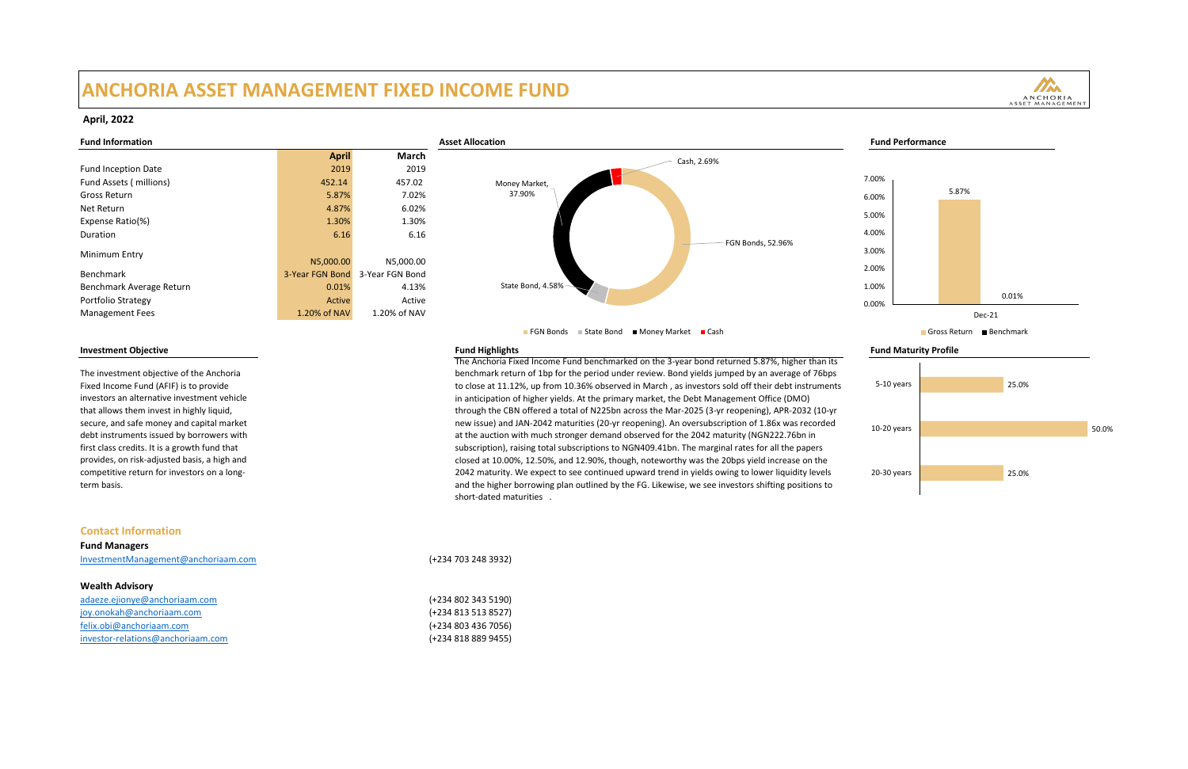# **ANCHORIA ASSET MANAGEMENT FIXED INCOME FUND**

| <b>April</b>    | <b>March</b>    |  |
|-----------------|-----------------|--|
| 2019            | 2019            |  |
| 452.14          | 457.02          |  |
| 5.87%           | 7.02%           |  |
| 4.87%           | 6.02%           |  |
| 1.30%           | 1.30%           |  |
| 6.16            | 6.16            |  |
| N5,000.00       | N5,000.00       |  |
| 3-Year FGN Bond | 3-Year FGN Bond |  |
| 0.01%           | 4.13%           |  |
| Active          | Active          |  |
| 1.20% of NAV    | 1.20% of NAV    |  |
|                 |                 |  |

The investment objective of the Anchoria Fixed Income Fund (AFIF) is to provide investors an alternative investment vehicle that allows them invest in highly liquid, secure, and safe money and capital market debt instruments issued by borrowers with first class credits. It is a growth fund that provides, on risk-adjusted basis, a high and competitive return for investors on a longterm basis.

**Investment Objective Fund Highlights Fund Maturity Profile** The Anchoria Fixed Income Fund benchmarked on the 3-year bond returned 5.87%, higher than its benchmark return of 1bp for the period under review. Bond yields jumped by an average of 76bps to close at 11.12%, up from 10.36% observed in March , as investors sold off their debt instruments in anticipation of higher yields. At the primary market, the Debt Management Office (DMO) through the CBN offered a total of N225bn across the Mar-2025 (3-yr reopening), APR-2032 (10-yr new issue) and JAN-2042 maturities (20-yr reopening). An oversubscription of 1.86x was recorded at the auction with much stronger demand observed for the 2042 maturity (NGN222.76bn in subscription), raising total subscriptions to NGN409.41bn. The marginal rates for all the papers closed at 10.00%, 12.50%, and 12.90%, though, noteworthy was the 20bps yield increase on the 2042 maturity. We expect to see continued upward trend in yields owing to lower liquidity levels and the higher borrowing plan outlined by the FG. Likewise, we see investors shifting positions to short-dated maturities .



### **Contact Information**

**Fund Managers**

[InvestmentManagement@anchoriaam.com](mailto:InvestmentManagement@anchoriaam.com) (+234 703 248 3932)



### **Wealth Advisory**

adaeze.ejionye@anchoriaam.com (+234 802 343 5190) [joy.onokah@anchoriaam.com](mailto:joy.onokah@anchoriaam.com) (+234 813 513 8527) [felix.obi@anchoriaam.com](mailto:felix.obi@anchoriaam.com) (+234 803 436 7056) [investor-relations@anchoriaam.com](mailto:investor-relations@anchoriaam.com) (+234 818 889 9455)

### **April, 2022**